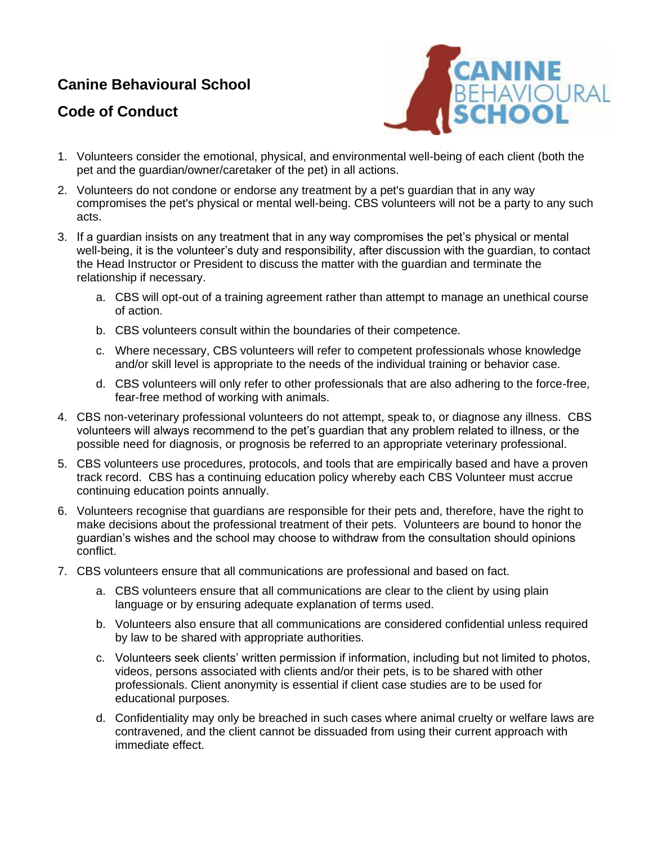## **Canine Behavioural School**

## **Code of Conduct**



- 1. Volunteers consider the emotional, physical, and environmental well-being of each client (both the pet and the guardian/owner/caretaker of the pet) in all actions.
- 2. Volunteers do not condone or endorse any treatment by a pet's guardian that in any way compromises the pet's physical or mental well-being. CBS volunteers will not be a party to any such acts.
- 3. If a guardian insists on any treatment that in any way compromises the pet's physical or mental well-being, it is the volunteer's duty and responsibility, after discussion with the guardian, to contact the Head Instructor or President to discuss the matter with the guardian and terminate the relationship if necessary.
	- a. CBS will opt-out of a training agreement rather than attempt to manage an unethical course of action.
	- b. CBS volunteers consult within the boundaries of their competence.
	- c. Where necessary, CBS volunteers will refer to competent professionals whose knowledge and/or skill level is appropriate to the needs of the individual training or behavior case.
	- d. CBS volunteers will only refer to other professionals that are also adhering to the force-free, fear-free method of working with animals.
- 4. CBS non-veterinary professional volunteers do not attempt, speak to, or diagnose any illness. CBS volunteers will always recommend to the pet's guardian that any problem related to illness, or the possible need for diagnosis, or prognosis be referred to an appropriate veterinary professional.
- 5. CBS volunteers use procedures, protocols, and tools that are empirically based and have a proven track record. CBS has a continuing education policy whereby each CBS Volunteer must accrue continuing education points annually.
- 6. Volunteers recognise that guardians are responsible for their pets and, therefore, have the right to make decisions about the professional treatment of their pets. Volunteers are bound to honor the guardian's wishes and the school may choose to withdraw from the consultation should opinions conflict.
- 7. CBS volunteers ensure that all communications are professional and based on fact.
	- a. CBS volunteers ensure that all communications are clear to the client by using plain language or by ensuring adequate explanation of terms used.
	- b. Volunteers also ensure that all communications are considered confidential unless required by law to be shared with appropriate authorities.
	- c. Volunteers seek clients' written permission if information, including but not limited to photos, videos, persons associated with clients and/or their pets, is to be shared with other professionals. Client anonymity is essential if client case studies are to be used for educational purposes.
	- d. Confidentiality may only be breached in such cases where animal cruelty or welfare laws are contravened, and the client cannot be dissuaded from using their current approach with immediate effect.